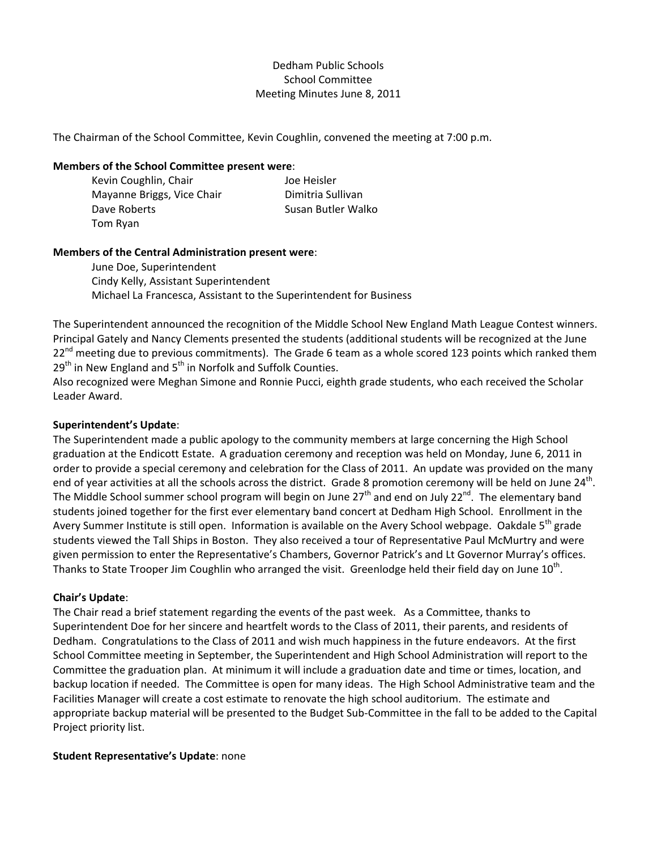# Dedham Public Schools School Committee Meeting Minutes June 8, 2011

The Chairman of the School Committee, Kevin Coughlin, convened the meeting at 7:00 p.m.

#### **Members of the School Committee present were**:

| Kevin Coughlin, Chair      | Joe Heisler        |
|----------------------------|--------------------|
| Mayanne Briggs, Vice Chair | Dimitria Sullivan  |
| Dave Roberts               | Susan Butler Walko |
| Tom Ryan                   |                    |

## **Members of the Central Administration present were**:

June Doe, Superintendent Cindy Kelly, Assistant Superintendent Michael La Francesca, Assistant to the Superintendent for Business

The Superintendent announced the recognition of the Middle School New England Math League Contest winners. Principal Gately and Nancy Clements presented the students (additional students will be recognized at the June 22<sup>nd</sup> meeting due to previous commitments). The Grade 6 team as a whole scored 123 points which ranked them  $29<sup>th</sup>$  in New England and  $5<sup>th</sup>$  in Norfolk and Suffolk Counties.

Also recognized were Meghan Simone and Ronnie Pucci, eighth grade students, who each received the Scholar Leader Award.

#### **Superintendent's Update**:

The Superintendent made a public apology to the community members at large concerning the High School graduation at the Endicott Estate. A graduation ceremony and reception was held on Monday, June 6, 2011 in order to provide a special ceremony and celebration for the Class of 2011. An update was provided on the many end of year activities at all the schools across the district. Grade 8 promotion ceremony will be held on June  $24<sup>th</sup>$ . The Middle School summer school program will begin on June  $27<sup>th</sup>$  and end on July  $22<sup>nd</sup>$ . The elementary band students joined together for the first ever elementary band concert at Dedham High School. Enrollment in the Avery Summer Institute is still open. Information is available on the Avery School webpage. Oakdale 5<sup>th</sup> grade students viewed the Tall Ships in Boston. They also received a tour of Representative Paul McMurtry and were given permission to enter the Representative's Chambers, Governor Patrick's and Lt Governor Murray's offices. Thanks to State Trooper Jim Coughlin who arranged the visit. Greenlodge held their field day on June  $10<sup>th</sup>$ .

# **Chair's Update**:

The Chair read a brief statement regarding the events of the past week. As a Committee, thanks to Superintendent Doe for her sincere and heartfelt words to the Class of 2011, their parents, and residents of Dedham. Congratulations to the Class of 2011 and wish much happiness in the future endeavors. At the first School Committee meeting in September, the Superintendent and High School Administration will report to the Committee the graduation plan. At minimum it will include a graduation date and time or times, location, and backup location if needed. The Committee is open for many ideas. The High School Administrative team and the Facilities Manager will create a cost estimate to renovate the high school auditorium. The estimate and appropriate backup material will be presented to the Budget Sub‐Committee in the fall to be added to the Capital Project priority list.

#### **Student Representative's Update**: none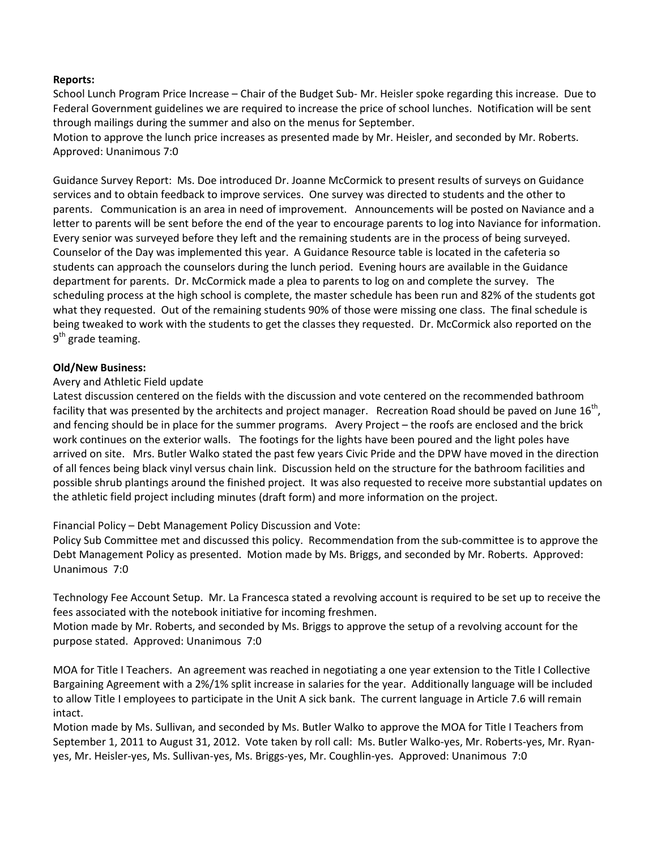# **Reports:**

School Lunch Program Price Increase – Chair of the Budget Sub‐ Mr. Heisler spoke regarding this increase. Due to Federal Government guidelines we are required to increase the price of school lunches. Notification will be sent through mailings during the summer and also on the menus for September.

Motion to approve the lunch price increases as presented made by Mr. Heisler, and seconded by Mr. Roberts. Approved: Unanimous 7:0

Guidance Survey Report: Ms. Doe introduced Dr. Joanne McCormick to present results of surveys on Guidance services and to obtain feedback to improve services. One survey was directed to students and the other to parents. Communication is an area in need of improvement. Announcements will be posted on Naviance and a letter to parents will be sent before the end of the year to encourage parents to log into Naviance for information. Every senior was surveyed before they left and the remaining students are in the process of being surveyed. Counselor of the Day was implemented this year. A Guidance Resource table is located in the cafeteria so students can approach the counselors during the lunch period. Evening hours are available in the Guidance department for parents. Dr. McCormick made a plea to parents to log on and complete the survey. The scheduling process at the high school is complete, the master schedule has been run and 82% of the students got what they requested. Out of the remaining students 90% of those were missing one class. The final schedule is being tweaked to work with the students to get the classes they requested. Dr. McCormick also reported on the  $9<sup>th</sup>$  grade teaming.

## **Old/New Business:**

## Avery and Athletic Field update

Latest discussion centered on the fields with the discussion and vote centered on the recommended bathroom facility that was presented by the architects and project manager. Recreation Road should be paved on June  $16<sup>th</sup>$ , and fencing should be in place for the summer programs. Avery Project – the roofs are enclosed and the brick work continues on the exterior walls. The footings for the lights have been poured and the light poles have arrived on site. Mrs. Butler Walko stated the past few years Civic Pride and the DPW have moved in the direction of all fences being black vinyl versus chain link. Discussion held on the structure for the bathroom facilities and possible shrub plantings around the finished project. It was also requested to receive more substantial updates on the athletic field project including minutes (draft form) and more information on the project.

# Financial Policy – Debt Management Policy Discussion and Vote:

Policy Sub Committee met and discussed this policy. Recommendation from the sub‐committee is to approve the Debt Management Policy as presented. Motion made by Ms. Briggs, and seconded by Mr. Roberts. Approved: Unanimous 7:0

Technology Fee Account Setup. Mr. La Francesca stated a revolving account is required to be set up to receive the fees associated with the notebook initiative for incoming freshmen.

Motion made by Mr. Roberts, and seconded by Ms. Briggs to approve the setup of a revolving account for the purpose stated. Approved: Unanimous 7:0

MOA for Title I Teachers. An agreement was reached in negotiating a one year extension to the Title I Collective Bargaining Agreement with a 2%/1% split increase in salaries for the year. Additionally language will be included to allow Title I employees to participate in the Unit A sick bank. The current language in Article 7.6 will remain intact.

Motion made by Ms. Sullivan, and seconded by Ms. Butler Walko to approve the MOA for Title I Teachers from September 1, 2011 to August 31, 2012. Vote taken by roll call: Ms. Butler Walko-yes, Mr. Roberts-yes, Mr. Ryanyes, Mr. Heisler‐yes, Ms. Sullivan‐yes, Ms. Briggs‐yes, Mr. Coughlin‐yes. Approved: Unanimous 7:0